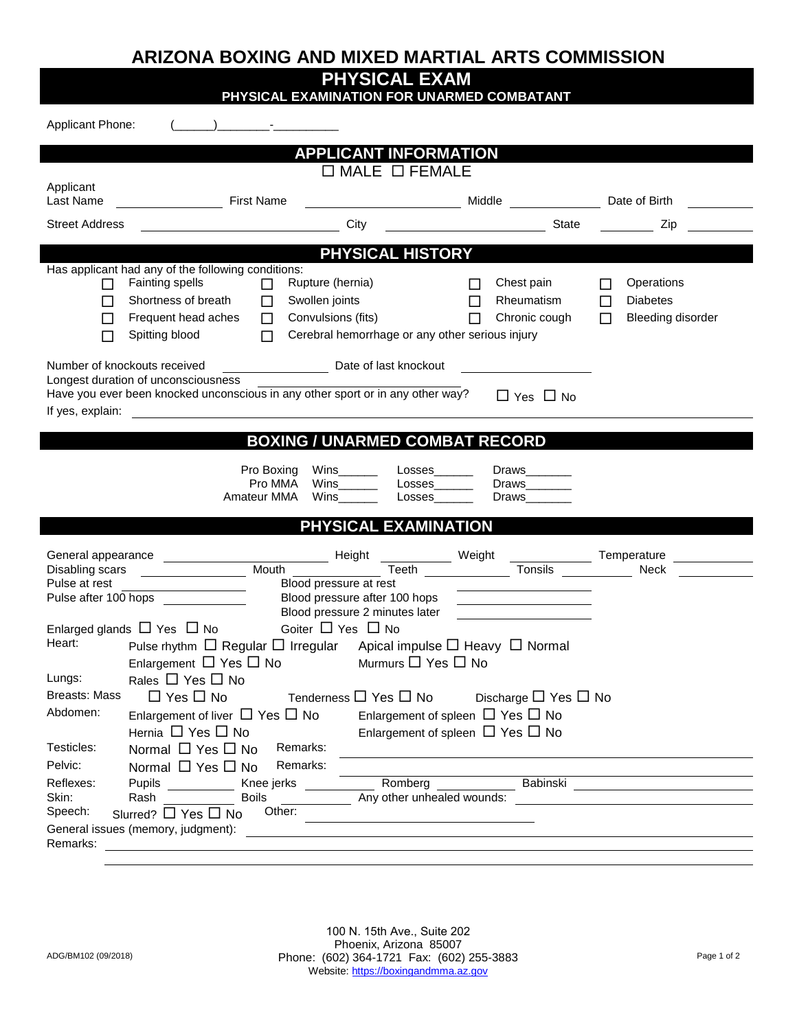## **ARIZONA BOXING AND MIXED MARTIAL ARTS COMMISSION**

**PHYSICAL EXAMINATION FOR UNARMED COMBATANT**

| Applicant Phone:                                                                                                                                                                                                                                                                                            |                                                                |                                                                |  |  |  |  |  |
|-------------------------------------------------------------------------------------------------------------------------------------------------------------------------------------------------------------------------------------------------------------------------------------------------------------|----------------------------------------------------------------|----------------------------------------------------------------|--|--|--|--|--|
| <b>APPLICANT INFORMATION</b>                                                                                                                                                                                                                                                                                |                                                                |                                                                |  |  |  |  |  |
| $\Box$ MALE $\Box$ FEMALE                                                                                                                                                                                                                                                                                   |                                                                |                                                                |  |  |  |  |  |
| Applicant<br>Last Name<br><b>Example 1 First Name</b>                                                                                                                                                                                                                                                       | <b>Middle Middle</b>                                           | Date of Birth                                                  |  |  |  |  |  |
| <b>Street Address</b><br>City                                                                                                                                                                                                                                                                               | State State                                                    | <u>na mga Zip</u>                                              |  |  |  |  |  |
| <b>PHYSICAL HISTORY</b>                                                                                                                                                                                                                                                                                     |                                                                |                                                                |  |  |  |  |  |
| Has applicant had any of the following conditions:<br>Fainting spells<br>Rupture (hernia)<br>П<br>⊔<br>Shortness of breath<br>Swollen joints<br>П<br>П<br>Convulsions (fits)<br>Frequent head aches<br>П<br>Spitting blood<br>Cerebral hemorrhage or any other serious injury<br>П                          | Chest pain<br>$\mathbf{L}$<br>Rheumatism<br>П<br>Chronic cough | Operations<br><b>Diabetes</b><br><b>Bleeding disorder</b>      |  |  |  |  |  |
| Number of knockouts received<br>Date of last knockout<br><u> Alban Maria (</u> 1985)<br>Longest duration of unconsciousness<br>Have you ever been knocked unconscious in any other sport or in any other way?<br>$\Box$ Yes $\Box$ No<br>If yes, explain:                                                   |                                                                |                                                                |  |  |  |  |  |
| <b>BOXING / UNARMED COMBAT RECORD</b>                                                                                                                                                                                                                                                                       |                                                                |                                                                |  |  |  |  |  |
| Pro Boxing<br>Losses<br>Draws_______<br>Pro MMA<br><b>Losses</b><br>Draws<br>Amateur MMA<br>Wins<br>Losses<br>Draws                                                                                                                                                                                         |                                                                |                                                                |  |  |  |  |  |
| PHYSICAL EXAMINATION                                                                                                                                                                                                                                                                                        |                                                                |                                                                |  |  |  |  |  |
| General appearance _____________<br>Height<br>Mouth<br>Disabling scars<br>Teeth<br>Pulse at rest<br>Blood pressure at rest<br>Blood pressure after 100 hops<br>Pulse after 100 hops<br>Blood pressure 2 minutes later                                                                                       | Weight<br>Tonsils                                              | Temperature<br>Neck                                            |  |  |  |  |  |
| Goiter $\Box$ Yes $\Box$ No<br>Enlarged glands $\Box$ Yes $\Box$ No<br>Heart:<br>Pulse rhythm $\Box$ Regular $\Box$ Irregular Apical impulse $\Box$ Heavy $\Box$ Normal<br>Murmurs $\Box$ Yes $\Box$ No<br>Enlargement $\Box$ Yes $\Box$ No<br>Lungs:<br>Rales $\Box$ Yes $\Box$ No                         |                                                                |                                                                |  |  |  |  |  |
| Tenderness □ Yes □ No<br><b>Breasts: Mass</b><br>$\Box$ Yes $\Box$ No<br>Discharge $\Box$ Yes $\Box$ No<br>Abdomen:<br>Enlargement of spleen $\Box$ Yes $\Box$ No<br>Enlargement of liver $\Box$ Yes $\Box$ No<br>Hernia □ Yes □ No<br>Enlargement of spleen $\Box$ Yes $\Box$ No<br>Remarks:<br>Testicles: |                                                                |                                                                |  |  |  |  |  |
| Normal $\Box$ Yes $\Box$ No<br>Pelvic:<br>Remarks:<br>Normal $\Box$ Yes $\Box$ No                                                                                                                                                                                                                           |                                                                |                                                                |  |  |  |  |  |
| Reflexes:<br>Pupils<br>Knee jerks ____<br>Rash<br><b>Boils</b><br>Skin:<br>Other:<br>Speech:<br>Slurred? $\Box$ Yes $\Box$ No                                                                                                                                                                               |                                                                | Romberg Babinski Manuel Babinski<br>Any other unhealed wounds: |  |  |  |  |  |
| General issues (memory, judgment):<br>Remarks:<br>,我们也不会有什么。""我们的人,我们也不会有什么?""我们的人,我们也不会有什么?""我们的人,我们也不会有什么?""我们的人,我们也不会有什么?""我们的人                                                                                                                                                                          |                                                                |                                                                |  |  |  |  |  |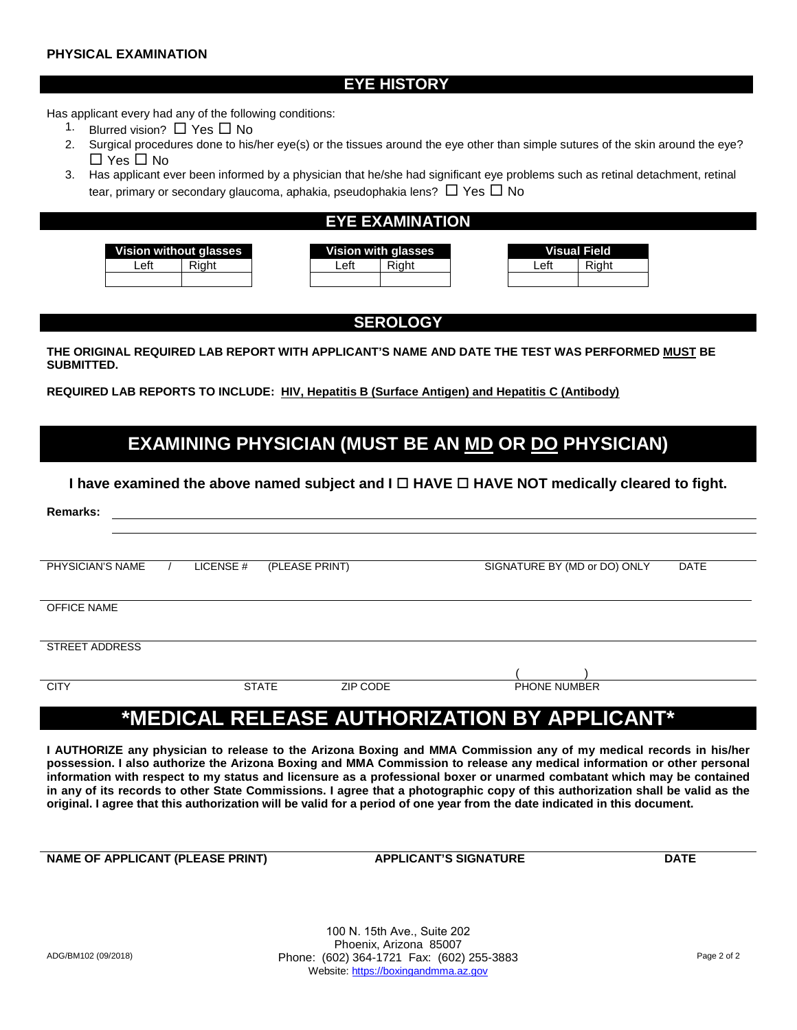#### **EYE HISTORY**

Has applicant every had any of the following conditions:

- 1. Blurred vision?  $\Box$  Yes  $\Box$  No
- 2. Surgical procedures done to his/her eye(s) or the tissues around the eye other than simple sutures of the skin around the eye?  $\Box$  Yes  $\Box$  No
- 3. Has applicant ever been informed by a physician that he/she had significant eye problems such as retinal detachment, retinal tear, primary or secondary glaucoma, aphakia, pseudophakia lens?  $\Box$  Yes  $\Box$  No

## **EYE EXAMINATION**





| Visual Field |       |  |  |  |  |
|--------------|-------|--|--|--|--|
| Left         | Right |  |  |  |  |
|              |       |  |  |  |  |

## **SEROLOGY**

**THE ORIGINAL REQUIRED LAB REPORT WITH APPLICANT'S NAME AND DATE THE TEST WAS PERFORMED MUST BE SUBMITTED.** 

**REQUIRED LAB REPORTS TO INCLUDE: HIV, Hepatitis B (Surface Antigen) and Hepatitis C (Antibody)**

## **EXAMINING PHYSICIAN (MUST BE AN MD OR DO PHYSICIAN)**

**I** have examined the above named subject and  $I$  □ HAVE □ HAVE NOT medically cleared to fight.

| Remarks:              |                                            |                |                                    |             |
|-----------------------|--------------------------------------------|----------------|------------------------------------|-------------|
|                       |                                            |                |                                    |             |
|                       |                                            |                |                                    |             |
| PHYSICIAN'S NAME      | LICENSE #                                  | (PLEASE PRINT) | SIGNATURE BY (MD or DO) ONLY       | <b>DATE</b> |
|                       |                                            |                |                                    |             |
| <b>OFFICE NAME</b>    |                                            |                |                                    |             |
|                       |                                            |                |                                    |             |
|                       |                                            |                |                                    |             |
| <b>STREET ADDRESS</b> |                                            |                |                                    |             |
|                       |                                            |                |                                    |             |
| <b>CITY</b>           | <b>STATE</b>                               | ZIP CODE       | <b>PHONE NUMBER</b>                |             |
|                       | $*M$ $\Gamma$ $\Gamma$ $\Lambda$ $\Lambda$ |                | DELEACE AUTHODIZATION DV ADDUCANT* |             |

# **\*MEDICAL RELEASE AUTHORIZATION BY APPLICANT\***

**I AUTHORIZE any physician to release to the Arizona Boxing and MMA Commission any of my medical records in his/her possession. I also authorize the Arizona Boxing and MMA Commission to release any medical information or other personal information with respect to my status and licensure as a professional boxer or unarmed combatant which may be contained in any of its records to other State Commissions. I agree that a photographic copy of this authorization shall be valid as the original. I agree that this authorization will be valid for a period of one year from the date indicated in this document.** 

**NAME OF APPLICANT (PLEASE PRINT) APPLICANT'S SIGNATURE DATE**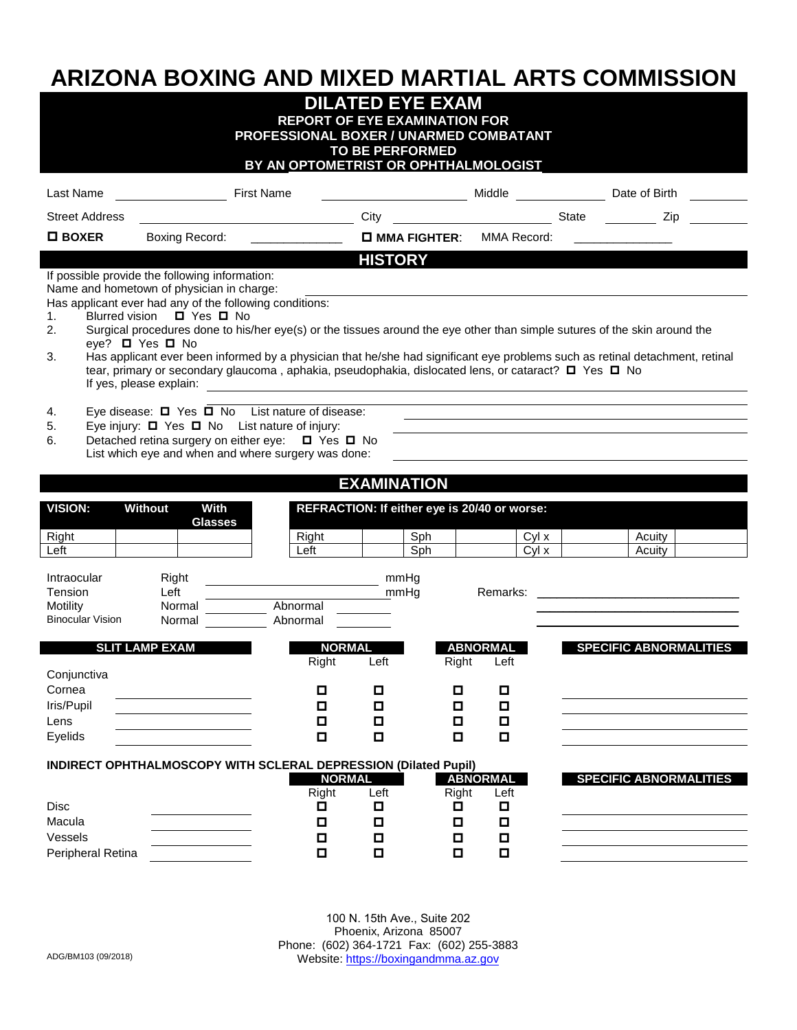# **ARIZONA BOXING AND MIXED MARTIAL ARTS COMMISSION**

| <b>DILATED EYE EXAM</b><br><b>REPORT OF EYE EXAMINATION FOR</b><br>PROFESSIONAL BOXER / UNARMED COMBATANT<br><b>TO BE PERFORMED</b><br>BY AN OPTOMETRIST OR OPHTHALMOLOGIST                                                                                                                                                                                                                                                                                                                                                                                                                                                                                                                                                                                          |                                   |                                                                                                                  |                                                          |                                               |                                                                 |                |                                                                                                                                                                                                                               |  |
|----------------------------------------------------------------------------------------------------------------------------------------------------------------------------------------------------------------------------------------------------------------------------------------------------------------------------------------------------------------------------------------------------------------------------------------------------------------------------------------------------------------------------------------------------------------------------------------------------------------------------------------------------------------------------------------------------------------------------------------------------------------------|-----------------------------------|------------------------------------------------------------------------------------------------------------------|----------------------------------------------------------|-----------------------------------------------|-----------------------------------------------------------------|----------------|-------------------------------------------------------------------------------------------------------------------------------------------------------------------------------------------------------------------------------|--|
| Last Name                                                                                                                                                                                                                                                                                                                                                                                                                                                                                                                                                                                                                                                                                                                                                            |                                   | <b>First Name</b>                                                                                                |                                                          |                                               |                                                                 |                |                                                                                                                                                                                                                               |  |
| <b>Street Address</b>                                                                                                                                                                                                                                                                                                                                                                                                                                                                                                                                                                                                                                                                                                                                                |                                   |                                                                                                                  |                                                          |                                               |                                                                 |                |                                                                                                                                                                                                                               |  |
| $\square$ BOXER                                                                                                                                                                                                                                                                                                                                                                                                                                                                                                                                                                                                                                                                                                                                                      | Boxing Record:                    |                                                                                                                  |                                                          | $\square$ MMA FIGHTER:                        |                                                                 | MMA Record:    |                                                                                                                                                                                                                               |  |
| <b>HISTORY</b><br>If possible provide the following information:<br>Name and hometown of physician in charge:<br>Has applicant ever had any of the following conditions:<br>Blurred vision □ Yes □ No<br>1.<br>2.<br>Surgical procedures done to his/her eye(s) or the tissues around the eye other than simple sutures of the skin around the<br>eye? □ Yes □ No<br>3.<br>Has applicant ever been informed by a physician that he/she had significant eye problems such as retinal detachment, retinal<br>tear, primary or secondary glaucoma, aphakia, pseudophakia, dislocated lens, or cataract? □ Yes □ No<br>If yes, please explain:<br><u> 1989 - Johann Harry Barn, mars ar y brening ar y brening ar y brening ar y brening ar y brening ar y brening a</u> |                                   |                                                                                                                  |                                                          |                                               |                                                                 |                |                                                                                                                                                                                                                               |  |
| Eye disease: $\Box$ Yes $\Box$ No List nature of disease:<br>4.<br>Eye injury: $\Box$ Yes $\Box$ No List nature of injury:<br>5.<br>Detached retina surgery on either eye: □ Yes □ No<br>6.<br>List which eye and when and where surgery was done:<br><b>EXAMINATION</b>                                                                                                                                                                                                                                                                                                                                                                                                                                                                                             |                                   |                                                                                                                  |                                                          |                                               |                                                                 |                |                                                                                                                                                                                                                               |  |
| <b>VISION:</b>                                                                                                                                                                                                                                                                                                                                                                                                                                                                                                                                                                                                                                                                                                                                                       | <b>Without</b><br>With            |                                                                                                                  |                                                          | REFRACTION: If either eye is 20/40 or worse:  |                                                                 |                |                                                                                                                                                                                                                               |  |
| Right<br>Left                                                                                                                                                                                                                                                                                                                                                                                                                                                                                                                                                                                                                                                                                                                                                        | <b>Glasses</b>                    | Right<br>Left                                                                                                    |                                                          | Sph<br>Sph                                    |                                                                 | Cyl x<br>Cyl x | Acuity<br>Acuity                                                                                                                                                                                                              |  |
| Intraocular<br>Tension<br>Motility<br><b>Binocular Vision</b>                                                                                                                                                                                                                                                                                                                                                                                                                                                                                                                                                                                                                                                                                                        | Right<br>Left<br>Normal<br>Normal | Abnormal<br>Abnormal                                                                                             |                                                          | mmHg                                          |                                                                 |                | Remarks: National Property of the Contract of the Contract of the Contract of the Contract of the Contract of the Contract of the Contract of the Contract of the Contract of the Contract of the Contract of the Contract of |  |
|                                                                                                                                                                                                                                                                                                                                                                                                                                                                                                                                                                                                                                                                                                                                                                      | <b>SLIT LAMP EXAM</b>             | Right                                                                                                            | <b>NORMAL</b><br>Left                                    | Right                                         | <b>ABNORMAL</b><br>Left                                         |                | <b>SPECIFIC ABNORMALITIES</b>                                                                                                                                                                                                 |  |
| Conjunctiva<br>Cornea<br>Iris/Pupil<br>Lens<br>Eyelids                                                                                                                                                                                                                                                                                                                                                                                                                                                                                                                                                                                                                                                                                                               |                                   | $\Box$<br>$\Box$<br>$\Box$<br>$\Box$                                                                             | $\Box$<br>◘<br>◘<br>◘                                    | О<br>$\Box$<br>$\Box$<br>$\Box$               | $\Box$<br>$\Box$<br>$\Box$<br>$\Box$                            |                |                                                                                                                                                                                                                               |  |
| Disc<br>Macula<br>Vessels<br>Peripheral Retina                                                                                                                                                                                                                                                                                                                                                                                                                                                                                                                                                                                                                                                                                                                       |                                   | INDIRECT OPHTHALMOSCOPY WITH SCLERAL DEPRESSION (Dilated Pupil)<br>Right<br>$\Box$<br>$\Box$<br>$\Box$<br>$\Box$ | <b>NORMAL</b><br>Left<br>□<br>$\Box$<br>$\Box$<br>$\Box$ | Right<br>$\Box$<br>$\Box$<br>$\Box$<br>$\Box$ | <b>ABNORMAL</b><br>Left<br>$\Box$<br>$\Box$<br>$\Box$<br>$\Box$ |                | <b>SPECIFIC ABNORMALITIES</b>                                                                                                                                                                                                 |  |

100 N. 15th Ave., Suite 202 Phoenix, Arizona 85007 Phone: (602) 364-1721 Fax: (602) 255-3883 Website: [https://boxingandmma.az.gov](https://boxingandmma.az.gov/)